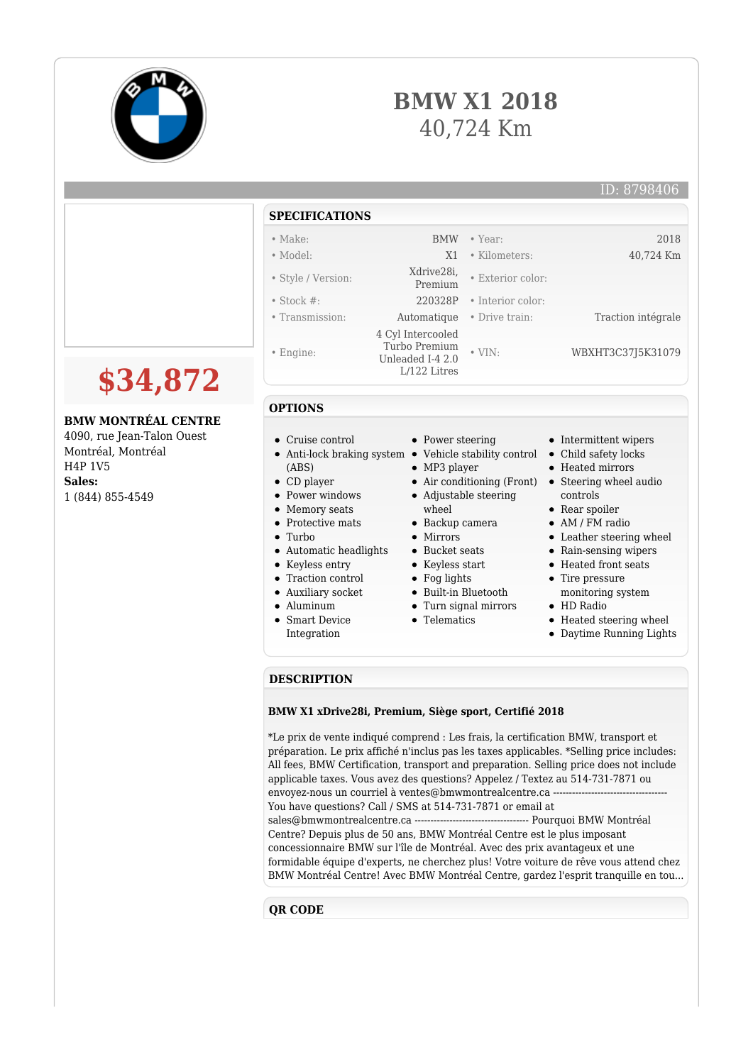

## **BMW X1 2018** 40,724 Km

Built-in Bluetooth Turn signal mirrors • Telematics

\*Le prix de vente indiqué comprend : Les frais, la certification BMW, transport et préparation. Le prix affiché n'inclus pas les taxes applicables. \*Selling price includes: All fees, BMW Certification, transport and preparation. Selling price does not include applicable taxes. Vous avez des questions? Appelez / Textez au 514-731-7871 ou

sales@bmwmontrealcentre.ca ------------------------------------ Pourquoi BMW Montréal Centre? Depuis plus de 50 ans, BMW Montréal Centre est le plus imposant concessionnaire BMW sur l'île de Montréal. Avec des prix avantageux et une

formidable équipe d'experts, ne cherchez plus! Votre voiture de rêve vous attend chez BMW Montréal Centre! Avec BMW Montréal Centre, gardez l'esprit tranquille en tou...

**BMW X1 xDrive28i, Premium, Siège sport, Certifié 2018**

envoyez-nous un courriel à ventes@bmwmontrealcentre.ca ----You have questions? Call / SMS at 514-731-7871 or email at

monitoring system

Heated steering wheel Daytime Running Lights

HD Radio

|                                                                                                                         | <b>SPECIFICATIONS</b>                                                                                                                                                                                                                                                 |                                                                                                                                                |                                                                                              |                                                                                                                                                                                                                                                      |
|-------------------------------------------------------------------------------------------------------------------------|-----------------------------------------------------------------------------------------------------------------------------------------------------------------------------------------------------------------------------------------------------------------------|------------------------------------------------------------------------------------------------------------------------------------------------|----------------------------------------------------------------------------------------------|------------------------------------------------------------------------------------------------------------------------------------------------------------------------------------------------------------------------------------------------------|
|                                                                                                                         | $\bullet$ Make:<br>$\bullet$ Model:<br>· Style / Version:<br>$\bullet$ Stock #:<br>• Transmission:                                                                                                                                                                    | <b>BMW</b><br>X1<br>Xdrive28i,<br>Premium<br>220328P<br>Automatique                                                                            | $\bullet$ Year:<br>· Kilometers:<br>• Exterior color:<br>• Interior color:<br>• Drive train: | 2018<br>40,724 Km<br>Traction intégrale                                                                                                                                                                                                              |
| \$34,872                                                                                                                | $\bullet$ Engine:                                                                                                                                                                                                                                                     | 4 Cyl Intercooled<br>Turbo Premium<br>Unleaded I-4 2.0<br>$L/122$ Litres                                                                       | $\bullet$ VIN:                                                                               | WBXHT3C37J5K31079                                                                                                                                                                                                                                    |
| <b>BMW MONTRÉAL CENTRE</b><br>4090, rue Jean-Talon Ouest<br>Montréal, Montréal<br>H4P 1V5<br>Sales:<br>1 (844) 855-4549 | <b>OPTIONS</b><br>Cruise control<br>$\bullet$<br>Anti-lock braking system<br>$\bullet$<br>(ABS)<br>CD player<br>Power windows<br>Memory seats<br>$\bullet$<br>Protective mats<br>Turbo<br>$\bullet$<br>Automatic headlights<br>٠<br>Keyless entry<br>Traction control | • Power steering<br>• MP3 player<br>wheel<br>$\bullet$ Backup camera<br>• Mirrors<br>• Bucket seats<br>• Keyless start<br>$\bullet$ Fog lights | • Vehicle stability control<br>• Air conditioning (Front)<br>$\bullet$ Adjustable steering   | • Intermittent wipers<br>• Child safety locks<br>• Heated mirrors<br>• Steering wheel audio<br>controls<br>• Rear spoiler<br>$\bullet$ AM / FM radio<br>• Leather steering wheel<br>• Rain-sensing wipers<br>• Heated front seats<br>• Tire pressure |

Auxiliary socket Aluminum Smart Device Integration

**DESCRIPTION**

**QR CODE**